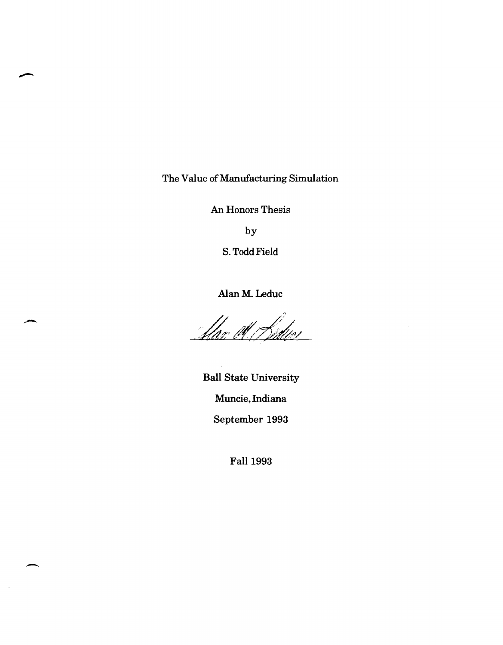The Value of Manufacturing Simulation

An Honors Thesis

by

S. Todd Field

Alan M. Leduc

<u> flar et Hedus</u>

Ball State University Muncie, Indiana September 1993

Fall 1993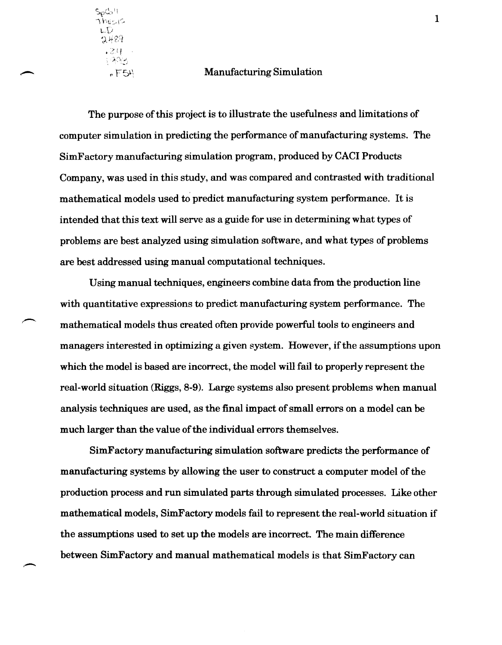$\gamma$  $\sim$   $\sim$  $\Box$ D 489  $.241$ ಾಂತ

,-

#### $r \in S^{\perp}$  Manufacturing Simulation

The purpose of this project is to illustrate the usefulness and limitations of computer simulation in predicting the performance of manufacturing systems. The SimFactory manufacturing simulation program, produced by CACI Products Company, was used in this study, and was compared and contrasted with traditional mathematical models used to predict manufacturing system performance. It is intended that this text will serve as a guide for use in determining what types of problems are best analyzed using simulation software, and what types of problems are best addressed using manual computational techniques.

Using manual techniques, engineers combine data from the production line with quantitative expressions to predict manufacturing system performance. The mathematical models thus created often provide powerful tools to engineers and managers interested in optimizing a given system. However, if the assumptions upon which the model is based are incorrect, the model will fail to properly represent the real-world situation (Riggs, 8-9). Large systems also present problems when manual analysis techniques are used, as the final impact of small errors on a model can be much larger than the value of the individual errors themselves.

SimFactory manufacturing simulation software predicts the performance of manufacturing systems by allowing the user to construct a computer model of the production process and run simulated parts through simulated processes. Like other mathematical models, SimFactory models fail to represent the real-world situation if the assumptions used to set up the models are incorrect. The main difference between SimFactory and manual mathematical models is that SimFactory can

1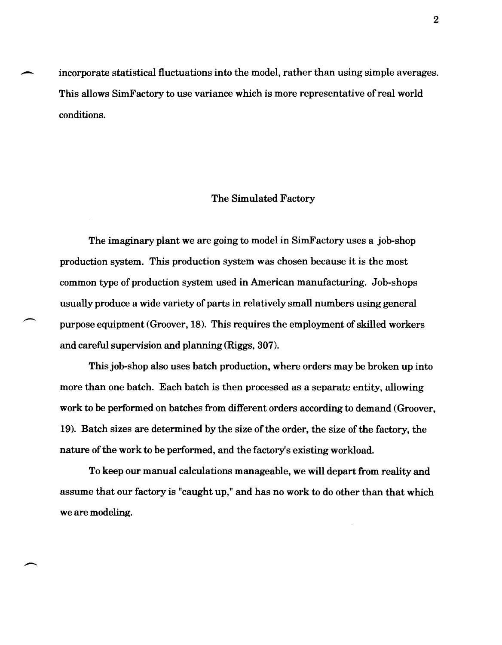incorporate statistical fluctuations into the model, rather than using simple averages. This allows SimFactory to use variance which is more representative of real world conditions.

#### The Simulated Factory

The imaginary plant we are going to model in SimFactory uses a job-shop production system. This production system was chosen because it is the most common type of production system used in American manufacturing. Job-shops usually produce a wide variety of parts in relatively small numbers using general purpose equipment (Groover, 18). This requires the employment of skilled workers and careful supervision and planning (Riggs, 307).

This job-shop also uses batch production, where orders may be broken up into more than one batch. Each batch is then processed as a separate entity, allowing work to be performed on batches from different orders according to demand (Groover, 19). Batch sizes are determined by the size of the order, the size of the factory, the nature of the work to be performed, and the factory's existing workload.

To keep our manual calculations manageable, we will depart from reality and assume that our factory is "caught up," and has no work to do other than that which we are modeling.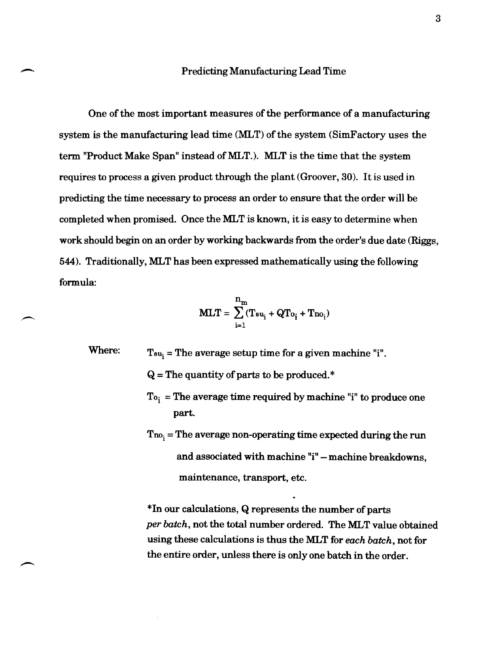#### Predicting Manufacturing Lead Time

One of the most important measures of the performance of a manufacturing system is the manufacturing lead time (MLT) of the system (SimFactory uses the term "Product Make Span" instead of MLT.). MLT is the time that the system requires to process a given product through the plant (Groover, 30). It is used in predicting the time necessary to process an order to ensure that the order will be completed when promised. Once the MLT is known, it is easy to determine when work should begin on an order by working backwards from the order's due date (Riggs, 544). Traditionally, MLT has been expressed mathematically using the following formula:

$$
MLT = \sum_{i=1}^{n_m} (T_{su_i} + QT_{o_i} + T_{no_i})
$$

Where:  $T_{\text{su}_1}$  = The average setup time for a given machine "i".

~.

 $Q =$ The quantity of parts to be produced.\*

- $To_i = The average time required by machine "i" to produce one$ part.
- $T_{\text{no}_i}$  = The average non-operating time expected during the run and associated with machine "i" - machine breakdowns, maintenance, transport, etc.

\*In our calculations, Q represents the number of parts per batch, not the total number ordered. The MLT value obtained using these calculations is thus the MLT for *each batch,* not for the entire order, unless there is only one batch in the order.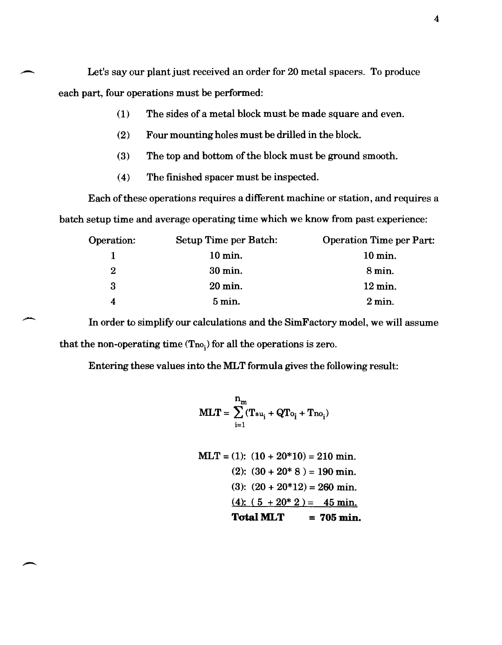Let's say our plant just received an order for 20 metal spacers. To produce each part, four operations must be performed:

,-

-

- (1) The sides of a metal block must be made square and even.
- (2) Four mounting holes must be drilled in the block.
- (3) The top and bottom of the block must be ground smooth.
- (4) The finished spacer must be inspected.

Each of these operations requires a different machine or station, and requires a batch setup time and average operating time which we know from past experience:

| Setup Time per Batch: | <b>Operation Time per Part:</b> |
|-----------------------|---------------------------------|
| $10 \,\mathrm{min}$ . | $10 \,\mathrm{min}$ .           |
| 30 min.               | $8 \,\mathrm{min}$ .            |
| 20 min.               | $12 \,\mathrm{min}$ .           |
| $5 \,\mathrm{min}$ .  | $2 \text{ min}$ .               |
|                       |                                 |

In order to simplify our calculations and the SimFactory model, we will assume that the non-operating time  $(T_{n_0})$  for all the operations is zero.

Entering these values into the MLT formula gives the following result:

$$
MLT = \sum_{i=1}^{n_m} (T_{s u_i} + QT_{o_i} + T_{no_i})
$$

$$
MLT = (1): (10 + 20*10) = 210 \text{ min.}
$$
  
(2):  $(30 + 20*8) = 190 \text{ min.}$   
(3):  $(20 + 20*12) = 260 \text{ min.}$   
(4):  $(5 + 20*2) = 45 \text{ min.}$   
**Total MLT** = 705 min.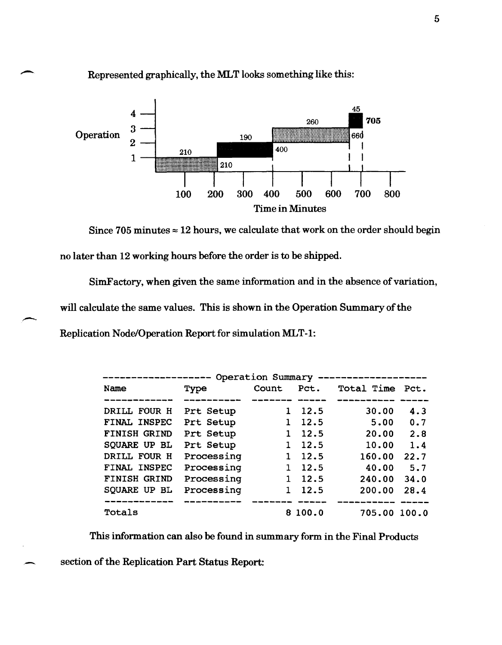

Represented graphically, the MLT looks something like this:

Since 705 minutes  $\approx$  12 hours, we calculate that work on the order should begin no later than 12 working hours before the order is to be shipped.

SimFactory, when given the same information and in the absence of variation,

will calculate the same values. This is shown in the Operation Summary of the

Replication Node/Operation Report for simulation MLT-1:

| Operation Summary   |            |       |         |              |      |  |  |  |
|---------------------|------------|-------|---------|--------------|------|--|--|--|
| Name                | Type       | Count | Pct.    | Total Time   | Pct. |  |  |  |
|                     |            |       |         |              |      |  |  |  |
| DRILL FOUR H        | Prt Setup  |       | 12.5    | 30.00        | 4.3  |  |  |  |
| FINAL INSPEC        | Prt Setup  |       | 12.5    | 5.00         | 0.7  |  |  |  |
| <b>FINISH GRIND</b> | Prt Setup  |       | 12.5    | 20.00        | 2.8  |  |  |  |
| <b>SQUARE UP BL</b> | Prt Setup  |       | 12.5    | 10.00        | 1.4  |  |  |  |
| DRILL FOUR H        | Processing |       | 12.5    | 160.00       | 22.7 |  |  |  |
| FINAL INSPEC        | Processing |       | 12.5    | 40.00        | 5.7  |  |  |  |
| <b>FINISH GRIND</b> | Processing |       | 12.5    | 240.00       | 34.0 |  |  |  |
| SQUARE UP BL        | Processing |       | 12.5    | 200.00       | 28.4 |  |  |  |
|                     |            |       |         |              |      |  |  |  |
| Totals              |            |       | 8 100.0 | 705.00 100.0 |      |  |  |  |

This information can also be found in summary form in the Final Products

section of the Replication Part Status Report: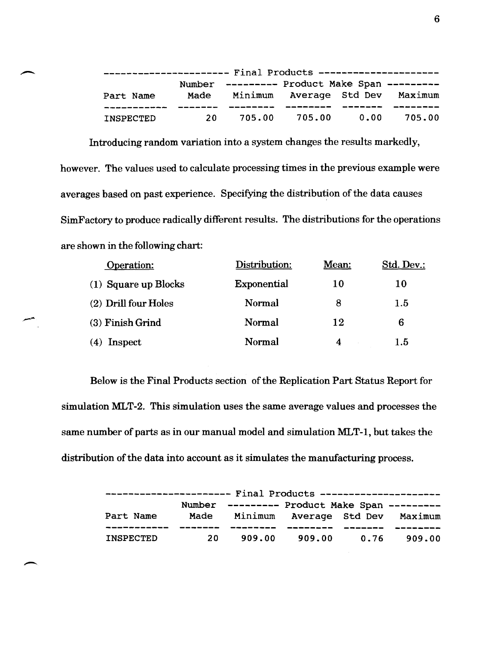| ----------------------    Final Products --------------------- |      |                                              |               |      |                                 |  |
|----------------------------------------------------------------|------|----------------------------------------------|---------------|------|---------------------------------|--|
|                                                                |      | Number --------- Product Make Span --------- |               |      |                                 |  |
| Part Name                                                      | Made |                                              |               |      | Minimum Average Std Dev Maximum |  |
|                                                                |      |                                              |               |      |                                 |  |
| <b>INSPECTED</b>                                               | 20 L |                                              | 705.00 705.00 | 0.00 | 705.00                          |  |

Introducing random variation into a system changes the results markedly, however. The values used to calculate processing times in the previous example were averages based on past experience. Specifying the distribution of the data causes SimFactory to produce radically different results. The distributions for the operations are shown in the following chart:

| Operation:           | Distribution: | Mean: | Std. Dev.: |  |
|----------------------|---------------|-------|------------|--|
| (1) Square up Blocks | Exponential   | 10    | 10         |  |
| (2) Drill four Holes | Normal        | 8     | 1.5        |  |
| (3) Finish Grind     | Normal        | 12    | 6          |  |
| Inspect<br>(4)       | Normal        | 4     | $1.5\,$    |  |

Below is the Final Products section of the Replication Part Status Report for simulation MLT-2. This simulation uses the same average values and processes the same number of parts as in our manual model and simulation MLT-1, but takes the distribution of the data into account as it simulates the manufacturing process.

| ---------------------    Final Products -------------------- |      |                                              |               |                    |        |  |
|--------------------------------------------------------------|------|----------------------------------------------|---------------|--------------------|--------|--|
|                                                              |      | Number --------- Product Make Span --------- |               |                    |        |  |
| Part Name                                                    |      | Made Minimum Average Std Dev Maximum         |               |                    |        |  |
| <b>INSPECTED</b>                                             | 20 I |                                              | 909.00 909.00 | ----------<br>0.76 | 909.00 |  |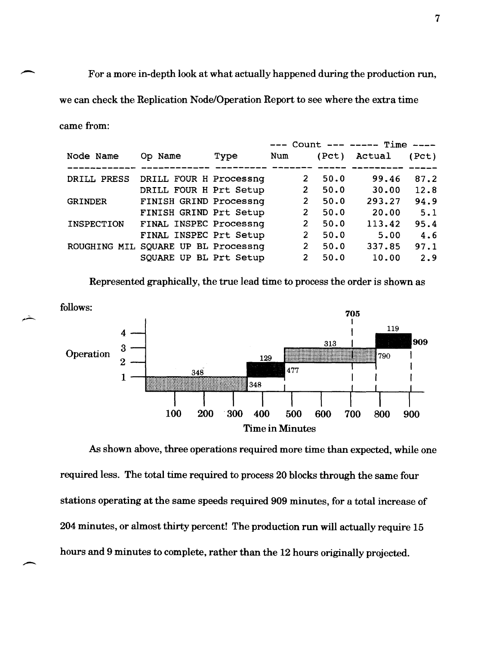For a more in-depth look at what actually happened during the production run, we can check the Replication Node/Operation Report to see where the extra time came from:

| Node Name         | Op Name                             | Type | Num |                | (Pct) | Actual | (Pct) |
|-------------------|-------------------------------------|------|-----|----------------|-------|--------|-------|
|                   |                                     |      |     |                |       |        |       |
| DRILL PRESS       | DRILL FOUR H Processnq              |      |     | 2              | 50.0  | 99.46  | 87.2  |
|                   | DRILL FOUR H Prt Setup              |      |     | $\overline{2}$ | 50.0  | 30.00  | 12.8  |
| <b>GRINDER</b>    | FINISH GRIND Processnq              |      |     | $\overline{2}$ | 50.0  | 293.27 | 94.9  |
|                   | FINISH GRIND Prt Setup              |      |     | 2              | 50.0  | 20.00  | 5.1   |
| <b>INSPECTION</b> | FINAL INSPEC Processnq              |      |     | $\overline{2}$ | 50.0  | 113.42 | 95.4  |
|                   | FINAL INSPEC Prt Setup              |      |     | $\overline{2}$ | 50.0  | 5.00   | 4.6   |
|                   | ROUGHING MIL SQUARE UP BL Processnq |      |     | $\overline{2}$ | 50.0  | 337.85 | 97.1  |
|                   | SQUARE UP BL Prt Setup              |      |     | $\overline{2}$ | 50.0  | 10.00  | 2.9   |

Represented graphically, the true lead time to process the order is shown as



As shown above, three operations required more time than expected, while one required less. The total time required to process 20 blocks through the same four stations operating at the same speeds required 909 minutes, for a total increase of 204 minutes, or almost thirty percent! The production run will actually require 15 hours and 9 minutes to complete, rather than the 12 hours originally projected.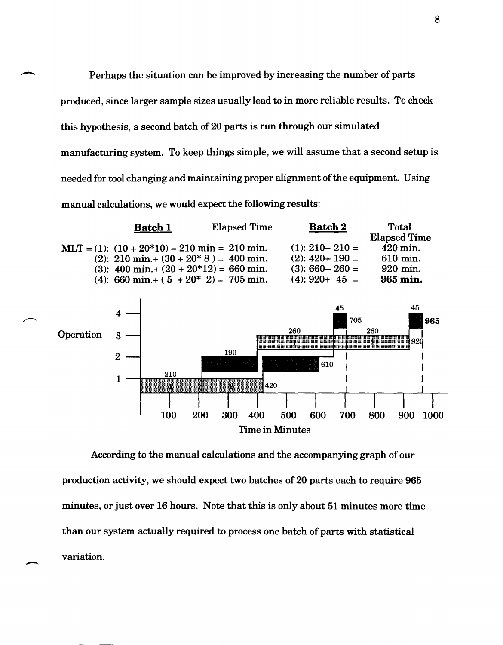Perhaps the situation can be improved by increasing the number of parts produced, since larger sample sizes usually lead to in more reliable results. To check this hypothesis, a second batch of 20 parts is run through our simulated manufacturing system. To keep things simple, we will assume that a second setup is needed for tool changing and maintaining proper alignment of the equipment. Using manual calculations, we would expect the following results:



According to the manual calculations and the accompanying graph of our production activity, we should expect two batches of 20 parts each to require 965 minutes, or just over 16 hours. Note that this is only about 51 minutes more time than our system actually required to process one batch of parts with statistical variation.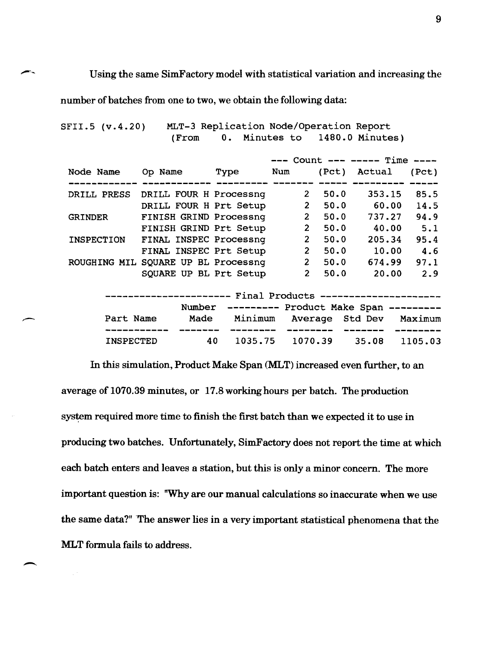Using the same SimFactory model with statistical variation and increasing the

number of batches from one to two, we obtain the following data:

SFII.5 (v.4.20) MLT-3 Replication Node/Operation Report<br>(From 0. Minutes to 1480.0 Minute (From O. Minutes to 1480.0 Minutes)

|                                         |                        |      |     |                       |       | $---$ Count $-- ---$ Time $---$              |       |
|-----------------------------------------|------------------------|------|-----|-----------------------|-------|----------------------------------------------|-------|
| Node Name                               | Op Name                | Type | Num |                       | (Pct) | Actual                                       | (Pct) |
|                                         |                        |      |     |                       |       |                                              |       |
| DRILL PRESS                             | DRILL FOUR H Processnq |      |     | $\mathbf{2}^{\prime}$ | 50.0  | 353.15                                       | 85.5  |
|                                         | DRILL FOUR H Prt Setup |      |     | $\overline{2}$        | 50.0  | 60.00                                        | 14.5  |
| <b>GRINDER</b>                          | FINISH GRIND Processnq |      |     | 2 <sup>1</sup>        | 50.0  | 737.27                                       | 94.9  |
|                                         | FINISH GRIND Prt Setup |      |     | $\mathbf{2}$          | 50.0  | 40.00                                        | 5.1   |
| <b>INSPECTION</b>                       | FINAL INSPEC Processnq |      |     | $\overline{2}$        | 50.0  | 205.34                                       | 95.4  |
|                                         | FINAL INSPEC Prt Setup |      |     | $\overline{2}$        | 50.0  | 10.00                                        | 4.6   |
| ROUGHING MIL                            | SQUARE UP BL Processnq |      |     | 2 <sup>1</sup>        | 50.0  | 674.99                                       | 97.1  |
|                                         | SQUARE UP BL Prt Setup |      |     | $\mathbf{2}^-$        | 50.0  | 20.00                                        | 2.9   |
|                                         |                        |      |     |                       |       |                                              |       |
| Final Products --------------------<br> |                        |      |     |                       |       |                                              |       |
|                                         |                        |      |     |                       |       | Number --------- Product Make Span --------- |       |

|               |      | Number --------- Product Make Span --------- |                 |          |                                 |
|---------------|------|----------------------------------------------|-----------------|----------|---------------------------------|
| Part Name     | Made |                                              |                 |          | Minimum Average Std Dev Maximum |
| ------------- |      |                                              | __________      | -------- | _______                         |
| INSPECTED     | 40.  |                                              | 1035.75 1070.39 |          | 35.08 1105.03                   |

In this simulation, Product Make Span (MLT) increased even further, to an average of 1070.39 minutes, or 17.8 working hours per batch. The production system required more time to finish the first batch than we expected it to use in producing two batches. Unfortunately, SimFactory does not report the time at which each batch enters and leaves a station, but this is only a minor concern. The more important question is: "Why are our manual calculations so inaccurate when we use the same data?" "The answer lies in a very important statistical phenomena that the **MLT** formula fails to address.

--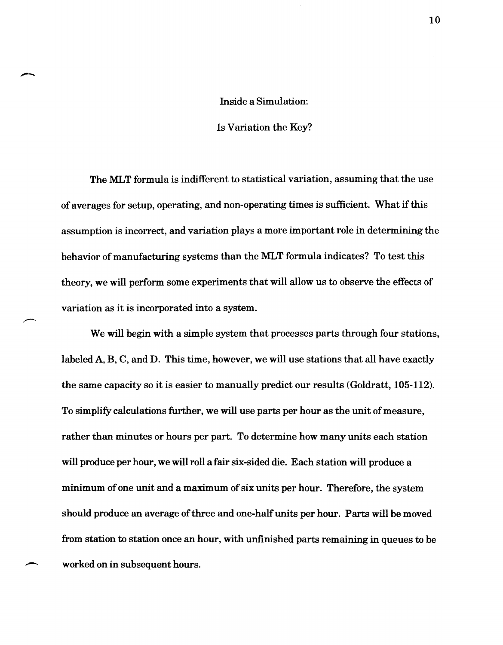### Inside a Simulation:

#### Is Variation the Key?

The MLT formula is indifferent to statistical variation, assuming that the use of averages for setup, operating, and non-operating times is sufficient. What if this assumption is incorrect, and variation plays a more important role in determining the behavior of manufacturing systems than the MLT formula indicates? To test this theory, we will perform some experiments that will allow us to observe the effects of variation as it is incorporated into a system.

We will begin with a simple system that processes parts through four stations, labeled A, B, C, and D. This time, however, we will use stations that all have exactly the same capacity so it is easier to manually predict our results (Goldratt, 105-112). To simplify calculations further, we will use parts per hour as the unit of measure, rather than minutes or hours per part. To determine how many units each station will produce per hour, we will roll a fair six-sided die. Each station will produce a minimum of one unit and a maximum of six units per hour. Therefore, the system should produce an average of three and one-half units per hour. Parts will be moved from station to station once an hour, with unfinished parts remaining in queues to be worked on in subsequent hours.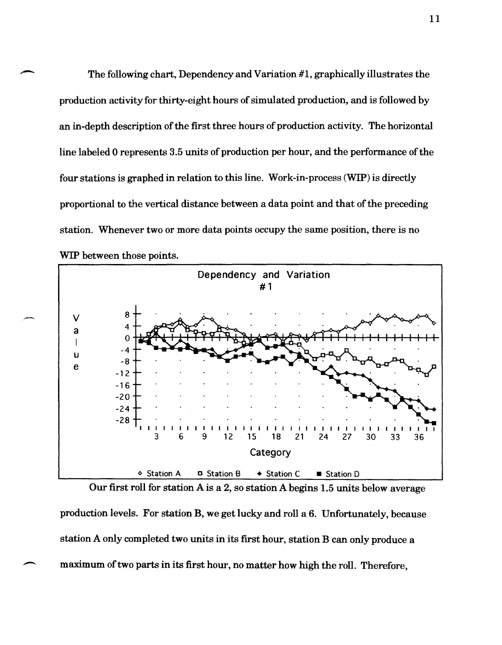The following chart, Dependency and Variation #1, graphically illustrates the production activity for thirty-eight hours of simulated production, and is followed by an in-depth description of the first three hours of production activity. The horizontal line labeled 0 represents 3.5 units of production per hour, and the performance of the four stations is graphed in relation to this line. Work-in-process (WIP) is directly proportional to the vertical distance between a data point and that of the preceding station. Whenever two or more data points occupy the same position, there is no WIP between those points.



,-

 $\overline{\phantom{a}}$ 

Our first roll for station A is a 2, so station A begins 1.5 units below average production levels. For station B, we get lucky and roll a 6. Unfortunately, because station A only completed two units in its first hour, station B can only produce a maximum of two parts in its first hour, no matter how high the roll. Therefore,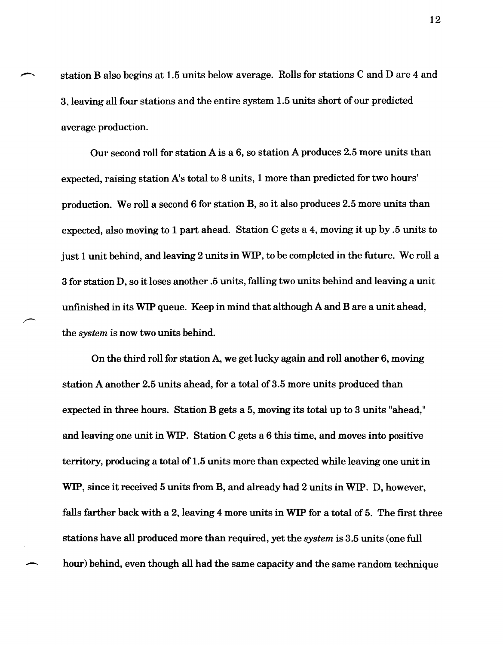station B also begins at 1.5 units below average. Rolls for stations C and D are 4 and 3, leaving all four stations and the entire system 1.5 units short of our predicted average production.

Our second roll for station A is a 6, so station A produces 2.5 more units than expected, raising station A's total to 8 units, 1 more than predicted for two hours' production. We roll a second 6 for station B, so it also produces 2.5 more units than expected, also moving to 1 part ahead. Station C gets a 4, moving it up by .5 units to just 1 unit behind, and leaving 2 units in WIP, to be completed in the future. We roll a 3 for station D, so it loses another .5 units, falling two units behind and leaving a unit unfinished in its WIP queue. Keep in mind that although A and B are a unit ahead, the *system* is now two units behind.

On the third roll for station A, we get lucky again and roll another 6, moving station A another 2.5 units ahead, for a total of 3.5 more units produced than expected in three hours. Station B gets a 5, moving its total up to 3 units "ahead," and leaving one unit in WIP. Station C gets a 6 this time, and moves into positive territory, producing a total of 1.5 units more than expected while leaving one unit in WIP, since it received 5 units from B, and already had 2 units in WIP. D, however, falls farther back with a 2, leaving 4 more units in WIP for a total of 5. The first three stations have all produced more than required, yet the *system* is 3.5 units (one full hour) behind, even though all had the same capacity and the same random technique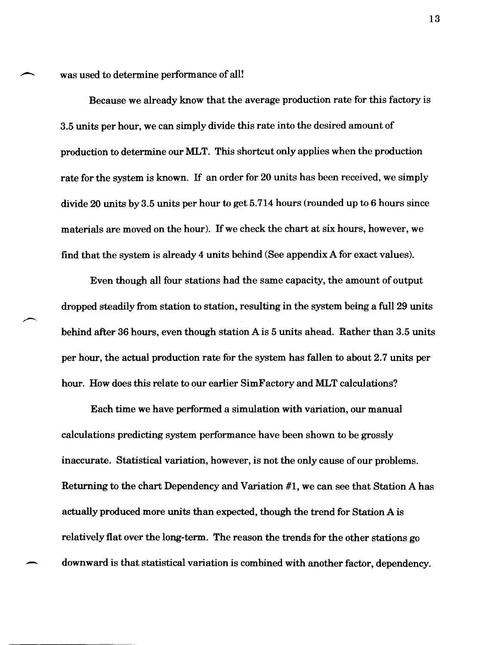was used to determine performance of all!

Because we already know that the average production rate for this factory is 3.5 units per hour, we can simply divide this rate into the desired amount of production to determine our MLT. This shortcut only applies when the production rate for the system is known. If an order for 20 units has been received, we simply divide 20 units by 3.5 units per hour to get 5.714 hours (rounded up to 6 hours since materials are moved on the hour). If we check the chart at six hours, however, we find that the system is already 4 units behind (See appendix A for exact values).

Even though all four stations had the same capacity, the amount of output dropped steadily from station to station, resulting in the system being a full 29 units behind after 36 hours, even though station A is 5 units ahead. Rather than 3.5 units per hour, the actual production rate for the system has fallen to about 2.7 units per hour. How does this relate to our earlier SimFactory and MLT calculations?

Each time we have performed a simulation with variation, our manual calculations predicting system periormance have been shown to be grossly inaccurate. Statistical variation, however, is not the only cause of our problems. Returning to the chart Dependency and Variation #1, we can see that Station A has actually produced more units than expected, though the trend for Station A is relatively flat over the long-term. The reason the trends for the other stations go downward is that statistical variation is combined with another factor, dependency.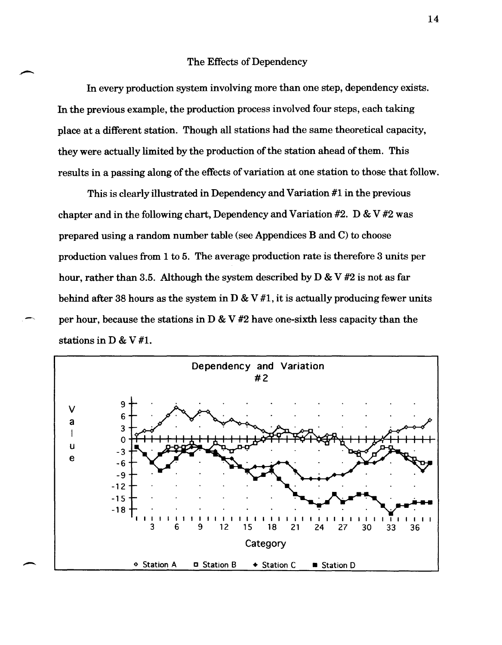#### The Effects of Dependency

In every production system involving more than one step, dependency exists. In the previous example, the production process involved four steps, each taking place at a different station. Though all stations had the same theoretical capacity, they were actually limited by the production of the station ahead of them. This results in a passing along of the effects of variation at one station to those that follow.

This is clearly illustrated in Dependency and Variation #1 in the previous chapter and in the following chart, Dependency and Variation  $#2$ . D & V  $#2$  was prepared using a random number table (see Appendices B and C) to choose production values from 1 to 5. The average production rate is therefore 3 units per hour, rather than 3.5. Although the system described by  $D \& V #2$  is not as far behind after 38 hours as the system in  $D \& V #1$ , it is actually producing fewer units per hour, because the stations in  $D \& V#2$  have one-sixth less capacity than the stations in D & V #1.

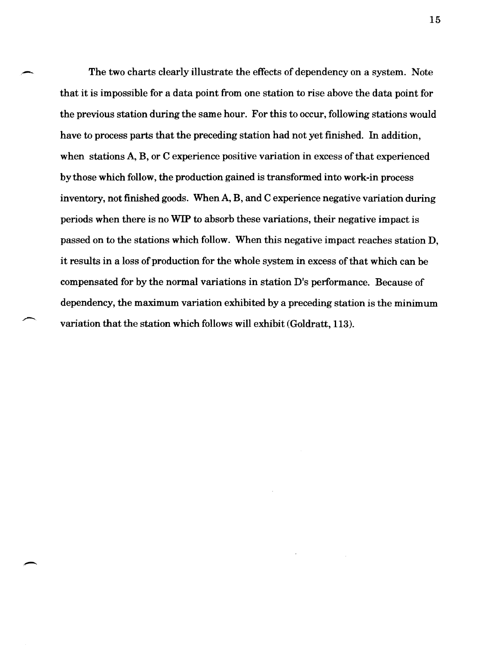The two charts clearly illustrate the effects of dependency on a system. Note that it is impossible for a data point from one station to rise above the data point for the previous station during the same hour. For this to occur, following stations would have to process parts that the preceding station had not yet finished. In addition, when stations A, B, or C experience positive variation in excess of that experienced by those which follow, the production gained is transformed into work-in process inventory, not finished goods. When A, B, and C experience negative variation during periods when there is no WIP to absorb these variations, their negative impact is passed on to the stations which follow. When this negative impact reaches station D, it results in a loss of production for the whole system in excess of that which can be compensated for by the normal variations in station D's performance. Because of dependency, the maximum variation exhibited by a preceding station is the minimum variation that the station which follows will exhibit (Goldratt, 113).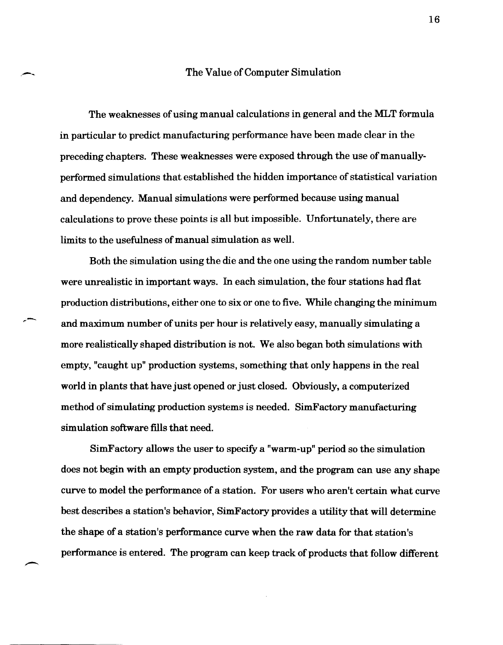#### The Value of Computer Simulation

The weaknesses of using manual calculations in general and the MLT formula in particular to predict manufacturing performance have been made clear in the preceding chapters. These weaknesses were exposed through the use of manuallyperformed simulations that established the hidden importance of statistical variation and dependency. Manual simulations were performed because using manual calculations to prove these points is all but impossible. Unfortunately, there are limits to the usefulness of manual simulation as well.

Both the simulation using the die and the one using the random number table were unrealistic in important ways. In each simulation, the four stations had flat production distributions, either one to six or one to five. While changing the minimum and maximum number of units per hour is relatively easy, manually simulating a more realistically shaped distribution is not. We also began both simulations with empty, "caught up" production systems, something that only happens in the real world in plants that have just opened or just closed. Obviously, a computerized method of simulating production systems is needed. SimFactory manufacturing simulation software fills that need.

... -

SimFactory allows the user to specify a "warm-up" period so the simulation does not begin with an empty production system, and the program can use any shape curve to model the performance of a station. For users who aren't certain what curve best describes a station's behavior, SimFactory provides a utility that will determine the shape of a station's performance curve when the raw data for that station's performance is entered. The program can keep track of products that follow different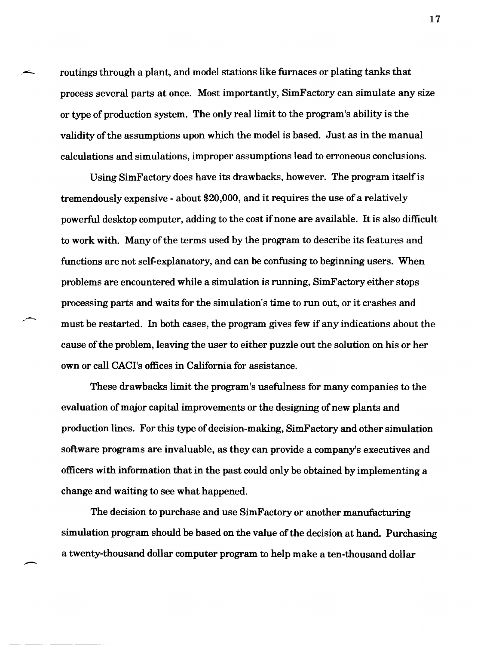routings through a plant, and model stations like furnaces or plating tanks that process several parts at once. Most importantly, SimFactory can simulate any size or type of production system. The only real limit to the program's ability is the validity of the assumptions upon which the model is based. Just as in the manual calculations and simulations, improper assumptions lead to erroneous conclusions.

Using SimFactory does have its drawbacks, however. The program itself is tremendously expensive - about \$20,000, and it requires the use of a relatively powerful desktop computer, adding to the cost ifnone are available. It is also difficult to work with. Many of the terms used by the program to describe its features and functions are not self-explanatory, and can be confusing to beginning users. When problems are encountered while a simulation is running, SimFactory either stops processing parts and waits for the simulation's time to run out, or it crashes and must be restarted. In both cases, the program gives few if any indications about the cause of the problem, leaving the user to either puzzle out the solution on his or her own or call CACI's offices in California for assistance.

,-

These drawbacks limit the program's usefulness for many companies to the evaluation of major capital improvements or the designing of new plants and production lines. For this type of decision-making, SimFactory and other simulation software programs are invaluable, as they can provide a company's executives and officers with information that in the past could only be obtained by implementing a change and waiting to see what happened.

The decision to purchase and use SimFactory or another manufacturing simulation program should be based on the value of the decision at hand. Purchasing a twenty-thousand dollar computer program to help make a ten-thousand dollar

17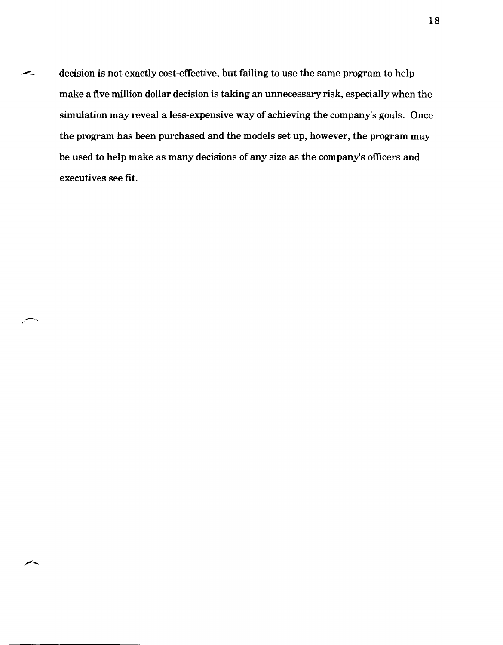decision is not exactly cost-effective, but failing to use the same program to help make a five million dollar decision is taking an unnecessary risk, especially when the simulation may reveal a less-expensive way of achieving the company's goals. Once the program has been purchased and the models set up, however, the program may be used to help make as many decisions of any size as the company's officers and executives see fit.

-,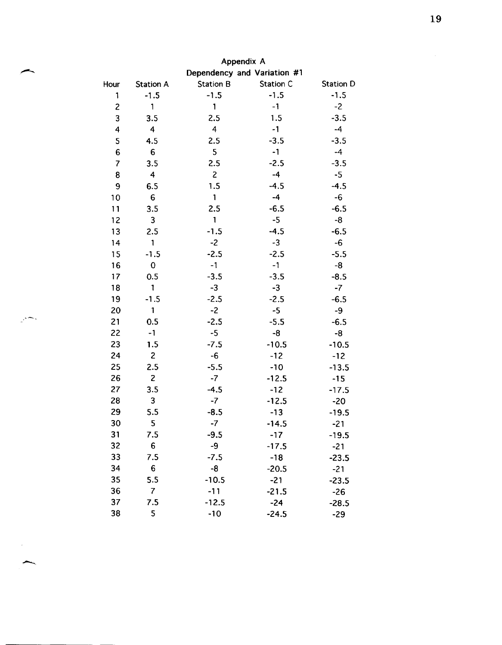| Appendix A              |                  |                         |                             |           |
|-------------------------|------------------|-------------------------|-----------------------------|-----------|
|                         |                  |                         | Dependency and Variation #1 |           |
| Hour                    | <b>Station A</b> | <b>Station B</b>        | Station C                   | Station D |
| 1                       | $-1.5$           | $-1.5$                  | $-1.5$                      | $-1.5$    |
| $\overline{\mathbf{c}}$ | 1                | 1                       | $-1$                        | $-2$      |
| 3                       | 3.5              | 2.5                     | 1.5                         | $-3.5$    |
| 4                       | 4                | $\overline{\mathbf{4}}$ | $-1$                        | $-4$      |
| 5                       | 4.5              | 2.5                     | $-3.5$                      | $-3.5$    |
| $6\phantom{1}6$         | 6                | 5                       | $-1$                        | $-4$      |
| $\overline{\mathbf{z}}$ | 3.5              | 2.5                     | $-2.5$                      | $-3.5$    |
| 8                       | $\overline{4}$   | $\overline{c}$          | $-4$                        | $-5$      |
| 9                       | 6.5              | 1.5                     | $-4.5$                      | $-4.5$    |
| 10                      | 6                | 1                       | $-4$                        | $-6$      |
| 11                      | 3.5              | 2.5                     | $-6.5$                      | $-6.5$    |
| 12                      | 3                | $\mathbf{1}$            | $-5$                        | -8        |
| 13                      | 2.5              | $-1.5$                  | $-4.5$                      | $-6.5$    |
| 14                      | $\mathbf{1}$     | $-2$                    | $-3$                        | $-6$      |
| 15                      | $-1.5$           | $-2.5$                  | $-2.5$                      | $-5.5$    |
| 16                      | 0                | $-1$                    | $-1$                        | -8        |
| 17                      | 0.5              | $-3.5$                  | $-3.5$                      | $-8.5$    |
| 18                      | 1                | $-3$                    | $-3$                        | $-7$      |
| 19                      | $-1.5$           | $-2.5$                  | $-2.5$                      | $-6.5$    |
| 20                      | 1                | $-2$                    | $-5$                        | -9        |
| 21                      | 0.5              | $-2.5$                  | $-5.5$                      | $-6.5$    |
| 22                      | $-1$             | $-5$                    | -8                          | -8        |
| 23                      | 1.5              | $-7.5$                  | $-10.5$                     | $-10.5$   |
| 24                      | $\overline{c}$   | $-6$                    | $-12$                       | $-12$     |
| 25                      | 2.5              | $-5.5$                  | $-10$                       | $-13.5$   |
| 26                      | $\overline{c}$   | $-7$                    | $-12.5$                     | $-15$     |
| 27                      | 3.5              | $-4.5$                  | $-12$                       | $-17.5$   |
| 28                      | 3                | $-7$                    | $-12.5$                     | $-20$     |
| 29                      | 5.5              | $-8.5$                  | $-13$                       | $-19.5$   |
| 30                      | 5                | $-7$                    | $-14.5$                     | $-21$     |
| 31                      | 7.5              | $-9.5$                  | $-17$                       | $-19.5$   |
| 32                      | 6                | -9                      | $-17.5$                     | $-21$     |
| 33                      | 7.5              | $-7.5$                  | $-18$                       | $-23.5$   |
| 34                      | 6                | -8                      | $-20.5$                     | $-21$     |
| 35                      | 5.5              | $-10.5$                 | $-21$                       | $-23.5$   |
| 36                      | $\overline{7}$   | $-11$                   | $-21.5$                     | $-26$     |
| 37                      | 7.5              | $-12.5$                 | $-24$                       | $-28.5$   |
| 38                      | 5                | $-10$                   | $-24.5$                     | $-29$     |

 $\overline{\phantom{a}}$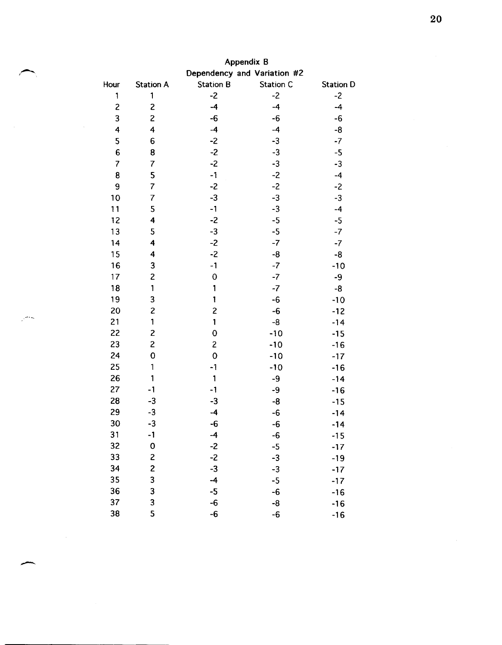|                         | <b>Appendix B</b>       |                  |                             |                  |  |
|-------------------------|-------------------------|------------------|-----------------------------|------------------|--|
|                         |                         |                  | Dependency and Variation #2 |                  |  |
| Hour                    | <b>Station A</b>        | <b>Station B</b> | Station C                   | <b>Station D</b> |  |
| 1                       | 1                       | $-2$             | $-2$                        | $-2$             |  |
| $\overline{c}$          | $\overline{c}$          | $-4$             | $-4$                        | $-4$             |  |
| 3                       | $\overline{c}$          | $-6$             | -6                          | $-6$             |  |
| $\overline{\mathbf{4}}$ | $\overline{4}$          | $-4$             | $-4$                        | -8               |  |
| 5                       | 6                       | $-2$             | $-3$                        | $-7$             |  |
| $6\phantom{a}$          | 8                       | $-2$             | $-3$                        | $-5$             |  |
| $\overline{7}$          | $\overline{7}$          | $-2$             | $-3$                        | $-3$             |  |
| 8                       | 5                       | $-1$             | $-2$                        | $-4$             |  |
| 9                       | $\overline{7}$          | $-2$             | $-2$                        | $-2$             |  |
| 10                      | $\overline{7}$          | $-3$             | $-3$                        | $-3$             |  |
| 11                      | 5                       | $-1$             | $-3$                        | $-4$             |  |
| 12                      | 4                       | $-2$             | $-5$                        | $-5$             |  |
| 13                      | 5                       | $-3$             | $-5$                        | $-7$             |  |
| 14                      | 4                       | $-2$             | $-7$                        | $-7$             |  |
| 15                      | 4                       | $-2$             | -8                          | -8               |  |
| 16                      | 3                       | $-1$             | $-7$                        | $-10$            |  |
| 17                      | $\overline{\mathbf{c}}$ | $\mathbf 0$      | $-7$                        | -9               |  |
| 18                      | 1                       | 1                | $-7$                        | -8               |  |
| 19                      | 3                       | 1                | -6                          | $-10$            |  |
| 20                      | $\overline{\mathbf{c}}$ | $\overline{c}$   | -6                          | $-12$            |  |
| 21                      | $\mathbf{1}$            | $\mathbf{1}$     | -8                          | $-14$            |  |
| 22                      | $\overline{c}$          | 0                | $-10$                       | $-15$            |  |
| 23                      | $\overline{c}$          | $\overline{c}$   | $-10$                       | $-16$            |  |
| 24                      | $\mathbf 0$             | $\mathbf 0$      | $-10$                       | $-17$            |  |
| 25                      | 1                       | $-1$             | $-10$                       | $-16$            |  |
| 26                      | 1                       | $\mathbf{1}$     | -9                          | $-14$            |  |
| 27                      | $-1$                    | $-1$             | $-9$                        | $-16$            |  |
| 28                      | $-3$                    | $-3$             | -8                          | $-15$            |  |
| 29                      | $-3$                    | $-4$             | -6                          | $-14$            |  |
| 30                      | $-3$                    | $-6$             | $-6$                        | $-14$            |  |
| 31                      | $-1$                    | $-4$             | -6                          | $-15$            |  |
| 32                      | $\mathbf 0$             | $-2$             | $-5$                        | $-17$            |  |
| 33                      | $\mathbf{Z}$            | $-2$             | $-3$                        | $-19$            |  |
| 34                      | $\overline{\mathbf{c}}$ | $-3$             | $-3$                        | $-17$            |  |
| 35                      | 3                       | $-4$             | $-5$                        | $-17$            |  |
| 36                      | $\overline{\mathbf{3}}$ | $-5$             | $-6$                        | $-16$            |  |
| 37                      | 3                       | $-6$             | -8                          | $-16$            |  |
| 38                      | 5                       | -6               | -6                          | $-16$            |  |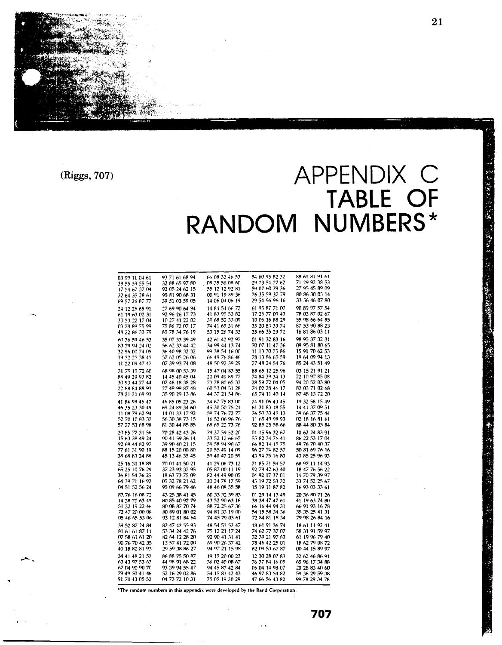· 不可以说的 "你们的人"

**(Riggs, 707)** 

...-"'c ..

.,.

# **APPENDIX C TABLE OF RANDOM NUMBERS\***

| 03 99 11 04 61 | 93 71 61 68 94 | 66 08 32 46 53 | 84 60 95 82 32 | 88 61 81 91 61 |
|----------------|----------------|----------------|----------------|----------------|
| 38 55 59 55 54 | 32 88 65 97 80 | 08 35 56 08 60 | 29 73 54 77 62 | 71 29 92 38 53 |
| 17 54 67 37 04 | 92 05 24 62 15 | 55 12 12 92 81 | 59 07 60 79 36 | 27 95 45 89 09 |
| 32 64 35 28 61 | 95 81 90 68 31 | በ0 91 19 89 36 | 76 35 59 37 79 | 80 86 30 05 14 |
| 69 57 26 87 77 | 39 51 03 59 05 | 14 06 04 06 19 | 29 54 96 96 16 | 33 56 46 07 80 |
|                |                |                |                |                |
| 24 12 26 65 91 | 27 69 90 64 94 | 14 84 54 66 72 | 61 95 87 71 00 | 90 89 97 57 54 |
| 61 19 63 02 31 | 92 96 26 17 73 | 41 83 95 53 82 | 17 26 77 09 43 | 78 03 87 02 67 |
| 30 53 22 17 04 | 10 27 41 22 02 | 39 68 52 33 09 | 10 06 16 88 29 | 55 98 66 64 85 |
| 03 78 89 75 99 | 75 86 72 07 17 | 74 41 65 31 66 | 35 20 83 33 74 | 87 53 90 88 23 |
| 48 22 86 33 79 | 85 78 34 76 19 | 53 15 26 74 33 | 35 66 35 29 72 | 16 81 86 03 11 |
| 60 36 59 46 53 | 35 07 53 39 49 | 42 61 42 92 97 | 01 91 32 83 16 | 98 95 37 32 31 |
| 83 79 94 24 02 | 56 62 33 44 42 | 34 99 44 13 74 | 70 07 11 47 36 | 09 95 81 80 65 |
| 32 96 00 74 05 | 36 40 98 32 32 | 99 38 54 16 00 | 11 13 30 75 86 | 15 91 70 62 53 |
| 19 32 25 38 45 | 57 62 05 26 06 | 66 49 76 86 46 | 78 13 86 65 59 | 19 64 09 94 13 |
| 11 22 09 47 47 | 07 39 93 74 08 | 48 50 92 39 29 | 27 48 24 54 76 | 85 24 43 51 49 |
| 31 75 15 72 60 | 68.98.00.53.39 | 15 47 04 83 55 | 88 65 12 25 96 | 03 15 21 91 21 |
| 88 49 29 93 82 | 14 45 40 45 04 | 20 09 49 89 77 | 74 84 39 34 13 | 22 10 97 85 08 |
| 30 93 44 77 44 | 07 48 18 38 28 | 73 78 80 65 33 | 28 59 72 04 05 | 94 20 52 03 80 |
| 22 88 84 88 93 | 27 49 99 87 48 | 60 53 04 51 28 | 74 02 28 46 17 | 82 03 71 02 68 |
| 78 21 21 69 93 | 35 90 29 13 86 | 44 37 21 54 86 | 65 74 11 40 14 | 87 48 13 72 20 |
|                |                |                |                |                |
| 41 84 98 45 47 | 46 85 05 23 26 | 34 67 75 83 00 | 74 91 06 43 45 | 19 32 58 15 49 |
| 46 35 23 30 49 | 69 24 89 34 60 | 45 30 50 75 21 | 61 31 83 18 55 | 14 41 37 09 51 |
| 11.08.79.62.94 | 14 01 33 17 92 | 59 74 76 72 77 | 76.50.33.45.13 | 39 66 37 75 44 |
| 52 70 10 83 37 | 56 30 38 73 15 | 16 52 06 96 76 | 11 65 49 98 93 | 02 18 16 81 61 |
| 57 27 53 68 98 | 81 30 44 85 85 | 68 65 22 73 76 | 92 85 25 58 66 | 88 44 80 35 84 |
| 20 85 77 31 56 | 70 28 42 43 26 | 79 37 59 52 20 | 01 15 96 32 67 | 10 62 24 83 91 |
| 15 63 38 49 24 | 90 41 59 36 14 | 33 52 12 66 65 | 55 82 34 76 41 | 86 22 53 17 04 |
| 92 69 44 82 97 | 39 90 40 21 15 | 59 58 94 90 67 | 66 82 14 15 75 | 49 76 70 40 37 |
| 77 61 31 90 19 | 88 15 20 00 80 | 20.55.49.14.09 | 96 27 74 82 57 | 50 81 69 76 16 |
| 38 68 83 24 86 | 45 13 46 35 45 | 59 40 47 20 59 | 43 94 75 16 80 | 43 85 25 96 93 |
| 25 16 30 18 89 | 70 01 41 50 21 | 41 29 06 73 12 | 71 85 71 59 57 | 68 97 11 14 93 |
| 65 25 10 76 29 | 37 23 93 32 95 | 05 87 00 11 19 | 92 78 42 63 40 | 18 47 76 56 22 |
| 36 81 54 36 25 | 18 63 73 75 09 | 82 44 49 90 05 | 04 92 17 37 01 | 14 70 79 39 97 |
| 64 39 71 16 92 | 05 32 78 21 62 | 20 24 78 17 59 | 45 19 72 53 32 | 33 74 52 25 67 |
| 04 51 52 56 24 | 95 09 66 79 46 | 48 46 08 55 58 | 15 19 11 87 82 | 16 93 03 33 61 |
|                |                |                |                |                |
| 83.76.16.08.72 | 43 25 38 41 45 | 60 33 32 59 83 | 01 29 14 13 49 | 20 36 80 71 26 |
| 14 38 70 63 45 | 80 85 40 92 79 | 43 52 90 63 18 | 38 38 47 47 61 | 41 19 63 74 80 |
| 51 32 19 22 46 | 80 08 87 70 74 | 88 72 25 67 36 | 66 16 44 94 31 | 66 91 93 16 78 |
| 72 47 20 00 08 | 80 89 01 80 02 | 94 81 33 19 00 | 54 15 58 34 36 | 35 35 25 41 31 |
| 05 46 65 53 06 | 93 12 81 84 64 | 74 45 79 05 61 | 72 84 81 18 34 | 79 98 26 84 16 |
| 39 52 87 24 84 | 82 47 42 55 93 | 48 54 53 52 47 | 18 61 91 36 74 | 18 61 11 92 41 |
| 81 61 61 87 11 | 53 34 24 42 76 | 75 12 21 17 24 | 74 62 77 37 07 | 58 31 91 59 97 |
| 07 58 61 61 20 | 82 64 12 28 20 | 92 90 41 31 41 | 32 39 21 97 63 | 61 19 96 79 40 |
| 90 76 70 42 35 | 13 57 41 72 00 | 69 90 26 37 42 | 78 46 42 25 01 | 18 62 79 08 72 |
| 40 18 32 81 93 | 29 59 38 86 27 | 94 97 21 15 98 | 62 09 53 67 87 | 00 44 15 89 97 |
| 34 41 48 21 57 | 86 BB 75 50 87 | 19 15 20 00 23 | 12 30 28 07 83 | 32 62 46 86 91 |
| 63 43 97 53 63 | 44 98 91 68 22 | 36.02.40.08.67 | 76 37 84 16 05 | 65 96 17 34 88 |
| 67 04 90 90 70 | 93 39 94 55 47 | 94 45 87 42 84 | 05 04 14 98 07 | 20 28 83 40 60 |
| 79 49 50 41 46 | 52 16 29 02 86 | 54 15 83 42 43 | 46 97 83 54 82 | 59 36 29 59 38 |
| 91 70 43 05 52 | 04 73 72 10 31 | 75 05 19 30 29 | 47 66 56 43 82 | 99 78 29 34 78 |
|                |                |                |                |                |

 $*$ The random numbers in this appendix were developed by the Rand Corporation.

**<sup>707</sup>**, ,